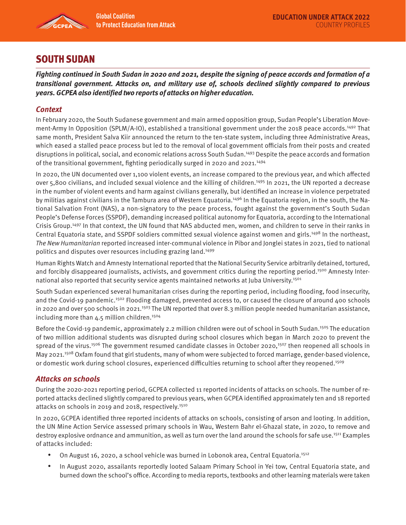

# SOUTH SUDAN

**Fighting continued in South Sudan in 2020 and 2021, despite the signing of peace accords and formation of a transitional government. Attacks on, and military use of, schools declined slightly compared to previous years. GCPEA also identified two reports of attacks on higher education.** 

## **Context**

In February 2020, the South Sudanese government and main armed opposition group, Sudan People's Liberation Movement-Army In Opposition (SPLM/A-IO), established a transitional government under the 2018 peace accords.<sup>1492</sup> That same month, President Salva Kiir announced the return to the ten-state system, including three Administrative Areas, which eased a stalled peace process but led to the removal of local government officials from their posts and created disruptions in political, social, and economic relations across South Sudan.1493 Despite the peace accords and formation of the transitional government, fighting periodically surged in 2020 and 2021.1494

In 2020, the UN documented over 1,100 violent events, an increase compared to the previous year, and which affected over 5,800 civilians, and included sexual violence and the killing of children.<sup>1495</sup> In 2021, the UN reported a decrease in the number of violent events and harm against civilians generally, but identified an increase in violence perpetrated by militias against civilians in the Tambura area of Western Equatoria.<sup>1496</sup> In the Equatoria region, in the south, the National Salvation Front (NAS), a non-signatory to the peace process, fought against the government's South Sudan People's Defense Forces (SSPDF), demanding increased political autonomy for Equatoria, according to the International Crisis Group.1497 In that context, the UN found that NAS abducted men, women, and children to serve in their ranks in Central Equatoria state, and SSPDF soldiers committed sexual violence against women and girls.1498 In the northeast, The New Humanitarian reported increased inter-communal violence in Pibor and Jonglei states in 2021, tied to national politics and disputes over resources including grazing land.<sup>1499</sup>

Human Rights Watch and Amnesty International reported that the National Security Service arbitrarily detained, tortured, and forcibly disappeared journalists, activists, and government critics during the reporting period.<sup>1500</sup> Amnesty International also reported that security service agents maintained networks at Juba University.<sup>1501</sup>

South Sudan experienced several humanitarian crises during the reporting period, including flooding, food insecurity, and the Covid-19 pandemic.<sup>1502</sup> Flooding damaged, prevented access to, or caused the closure of around 400 schools in 2020 and over 500 schools in 2021.<sup>1503</sup> The UN reported that over 8.3 million people needed humanitarian assistance, including more than 4.5 million children.<sup>1504</sup>

Before the Covid-19 pandemic, approximately 2.2 million children were out of school in South Sudan.<sup>1505</sup> The education of two million additional students was disrupted during school closures which began in March 2020 to prevent the spread of the virus.<sup>1506</sup> The government resumed candidate classes in October 2020,<sup>1507</sup> then reopened all schools in May 2021.<sup>1508</sup> Oxfam found that girl students, many of whom were subjected to forced marriage, gender-based violence, or domestic work during school closures, experienced difficulties returning to school after they reopened.1509

### **Attacks on schools**

During the 2020-2021 reporting period, GCPEA collected 11 reported incidents of attacks on schools. The number of reported attacks declined slightly compared to previous years, when GCPEA identified approximately ten and 18 reported attacks on schools in 2019 and 2018, respectively.<sup>1510</sup>

In 2020, GCPEA identified three reported incidents of attacks on schools, consisting of arson and looting. In addition, the UN Mine Action Service assessed primary schools in Wau, Western Bahr el-Ghazal state, in 2020, to remove and destroy explosive ordnance and ammunition, as well as turn over the land around the schools for safe use.<sup>1511</sup> Examples of attacks included:

- On August 16, 2020, a school vehicle was burned in Lobonok area, Central Equatoria.<sup>1512</sup>
- In August 2020, assailants reportedly looted Salaam Primary School in Yei tow, Central Equatoria state, and burned down the school's office. According to media reports, textbooks and other learning materials were taken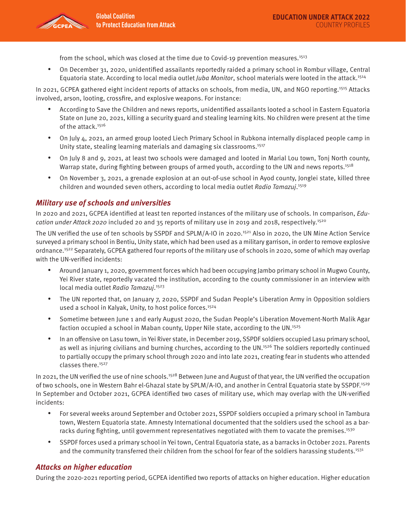

from the school, which was closed at the time due to Covid-19 prevention measures.<sup>1513</sup>

• On December 31, 2020, unidentified assailants reportedly raided a primary school in Rombur village, Central Equatoria state. According to local media outlet *Juba Monitor*, school materials were looted in the attack.<sup>1514</sup>

In 2021, GCPEA gathered eight incident reports of attacks on schools, from media, UN, and NGO reporting.<sup>1515</sup> Attacks involved, arson, looting, crossfire, and explosive weapons. For instance:

- According to Save the Children and news reports, unidentified assailants looted a school in Eastern Equatoria State on June 20, 2021, killing a security guard and stealing learning kits. No children were present at the time of the attack.<sup>1516</sup>
- On July 4, 2021, an armed group looted Liech Primary School in Rubkona internally displaced people camp in Unity state, stealing learning materials and damaging six classrooms.1517
- On July 8 and 9, 2021, at least two schools were damaged and looted in Marial Lou town, Tonj North county, Warrap state, during fighting between groups of armed youth, according to the UN and news reports.<sup>1518</sup>
- On November 3, 2021, a grenade explosion at an out-of-use school in Ayod county, Jonglei state, killed three children and wounded seven others, according to local media outlet Radio Tamazuj.<sup>1519</sup>

#### **Military use of schools and universities**

In 2020 and 2021, GCPEA identified at least ten reported instances of the military use of schools. In comparison, Education under Attack 2020 included 20 and 35 reports of military use in 2019 and 2018, respectively.<sup>1520</sup>

The UN verified the use of ten schools by SSPDF and SPLM/A-IO in 2020.<sup>1521</sup> Also in 2020, the UN Mine Action Service surveyed a primary school in Bentiu, Unity state, which had been used as a military garrison, in order to remove explosive ordnance.<sup>1522</sup> Separately, GCPEA gathered four reports of the military use of schools in 2020, some of which may overlap with the UN-verified incidents:

- Around January 1, 2020, government forces which had been occupying Jambo primary school in Mugwo County, Yei River state, reportedly vacated the institution, according to the county commissioner in an interview with local media outlet Radio Tamazuj.<sup>1523</sup>
- The UN reported that, on January 7, 2020, SSPDF and Sudan People's Liberation Army in Opposition soldiers used a school in Kalyak, Unity, to host police forces.<sup>1524</sup>
- Sometime between June 1 and early August 2020, the Sudan People's Liberation Movement-North Malik Agar faction occupied a school in Maban county, Upper Nile state, according to the UN.<sup>1525</sup>
- In an offensive on Lasu town, in Yei River state, in December 2019, SSPDF soldiers occupied Lasu primary school, as well as injuring civilians and burning churches, according to the UN.<sup>1526</sup> The soldiers reportedly continued to partially occupy the primary school through 2020 and into late 2021, creating fear in students who attended classes there.<sup>1527</sup>

In 2021, the UN verified the use of nine schools.<sup>1528</sup> Between June and August of that year, the UN verified the occupation of two schools, one in Western Bahr el-Ghazal state by SPLM/A-IO, and another in Central Equatoria state by SSPDF.1529 In September and October 2021, GCPEA identified two cases of military use, which may overlap with the UN-verified incidents:

- For several weeks around September and October 2021, SSPDF soldiers occupied a primary school in Tambura town, Western Equatoria state. Amnesty International documented that the soldiers used the school as a barracks during fighting, until government representatives negotiated with them to vacate the premises.<sup>1530</sup>
- SSPDF forces used a primary school in Yei town, Central Equatoria state, as a barracks in October 2021. Parents and the community transferred their children from the school for fear of the soldiers harassing students.<sup>1531</sup>

### **Attacks on higher education**

During the 2020-2021 reporting period, GCPEA identified two reports of attacks on higher education. Higher education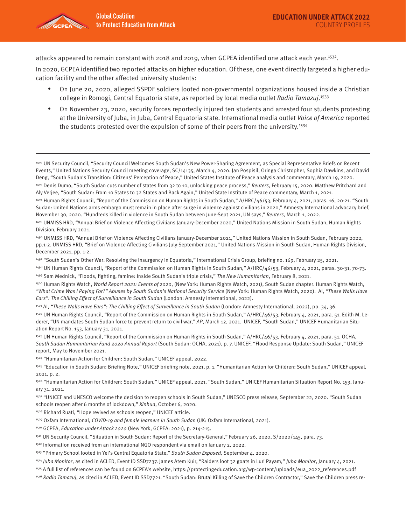attacks appeared to remain constant with 2018 and 2019, when GCPEA identified one attack each year.1532.

In 2020, GCPEA identified two reported attacks on higher education. Of these, one event directly targeted a higher education facility and the other affected university students:

- On June 20, 2020, alleged SSPDF soldiers looted non-governmental organizations housed inside a Christian college in Romogi, Central Equatoria state, as reported by local media outlet Radio Tamazuj.<sup>1533</sup>
- On November 23, 2020, security forces reportedly injured ten students and arrested four students protesting at the University of Juba, in Juba, Central Equatoria state. International media outlet Voice of America reported the students protested over the expulsion of some of their peers from the university.<sup>1534</sup>

1492 UN Security Council, "Security Council Welcomes South Sudan's New Power-Sharing Agreement, as Special Representative Briefs on Recent Events," United Nations Security Council meeting coverage, SC/14135, March 4, 2020. Jan Pospisil, Oringa Christopher, Sophia Dawkins, and David Deng, "South Sudan's Transition: Citizens' Perception of Peace," United States Institute of Peace analysis and commentary, March 19, 2020. 1493 Denis Dumo, "South Sudan cuts number of states from 32 to 10, unlocking peace process," Reuters, February 15, 2020. Matthew Pritchard and

- 1497 "South Sudan's Other War: Resolving the Insurgency in Equatoria," International Crisis Group, briefing no. 169, February 25, 2021.
- <sup>1498</sup> UN Human Rights Council, "Report of the Commission on Human Rights in South Sudan," A/HRC/46/53, February 4, 2021, paras. 30-31, 70-73. <sup>1499</sup> Sam Mednick, "Floods, fighting, famine: Inside South Sudan's triple crisis," The New Humanitarian, February 8, 2021.
- 1500 Human Rights Watch, World Report 2021: Events of 2020, (New York: Human Rights Watch, 2021), South Sudan chapter. Human Rights Watch, "What Crime Was I Paying For?" Abuses by South Sudan's National Security Service (New York: Human Rights Watch, 2020). AI, "These Walls Have Ears": The Chilling Effect of Surveillance in South Sudan (London: Amnesty International, 2022).
- 1501 AI, "These Walls Have Ears": The Chilling Effect of Surveillance in South Sudan (London: Amnesty International, 2022), pp. 34, 36.
- <sup>1502</sup> UN Human Rights Council, "Report of the Commission on Human Rights in South Sudan," A/HRC/46/53, February 4, 2021, para. 51. Edith M. Lederer, "UN mandates South Sudan force to prevent return to civil war," AP, March 12, 2021. UNICEF, "South Sudan," UNICEF Humanitarian Situation Report No. 153, January 31, 2021.
- 1503 UN Human Rights Council, "Report of the Commission on Human Rights in South Sudan," A/HRC/46/53, February 4, 2021, para. 51. OCHA, South Sudan Humanitarian Fund 2020 Annual Report (South Sudan: OCHA, 2021), p. 7. UNICEF, "Flood Response Update: South Sudan," UNICEF report, May to November 2021.

1504 "Humanitarian Action for Children: South Sudan," UNICEF appeal, 2022.

1505 "Education in South Sudan: Briefing Note," UNICEF briefing note, 2021, p. 1. "Humanitarian Action for Children: South Sudan," UNICEF appeal, 2021, p. 2.

1506 "Humanitarian Action for Children: South Sudan," UNICEF appeal, 2021. "South Sudan," UNICEF Humanitarian Situation Report No. 153, January 31, 2021.

1507 "UNICEF and UNESCO welcome the decision to reopen schools in South Sudan," UNESCO press release, September 22, 2020. "South Sudan schools reopen after 6 months of lockdown," Xinhua, October 6, 2020.

1508 Richard Ruati, "Hope revived as schools reopen," UNICEF article.

- 1509 Oxfam International, COVID-19 and female learners in South Sudan (UK: Oxfam International, 2021).
- 1510 GCPEA, Education under Attack 2020 (New York, GCPEA: 2021), p. 214-215.
- 1511 UN Security Council, "Situation in South Sudan: Report of the Secretary-General," February 26, 2020, S/2020/145, para. 73.
- 1512 Information received from an international NGO respondent via email on January 2, 2022.
- 1513 "Primary School looted in Yei's Central Equatoria State," South Sudan Exposed, September 4, 2020.

1515 A full list of references can be found on GCPEA's website, https://protectingeducation.org/wp-content/uploads/eua\_2022\_references.pdf

1516 Radio Tamazuj, as cited in ACLED, Event ID SSD7721. "South Sudan: Brutal Killing of Save the Children Contractor," Save the Children press re-

Aly Verjee, "South Sudan: From 10 States to 32 States and Back Again," United State Institute of Peace commentary, March 1, 2021.

<sup>1494</sup> Human Rights Council, "Report of the Commission on Human Rights in South Sudan," A/HRC/46/53, February 4, 2021, paras. 16, 20-21. "South Sudan: United Nations arms embargo must remain in place after surge in violence against civilians in 2020," Amnesty International advocacy brief, November 30, 2020. "Hundreds killed in violence in South Sudan between June-Sept 2021, UN says," Reuters, March 1, 2022.

<sup>1495</sup> UNMISS HRD, "Annual Brief on Violence Affecting Civilians January-December 2020," United Nations Mission in South Sudan, Human Rights Division, February 2021.

<sup>1496</sup> UNMISS HRD, "Annual Brief on Violence Affecting Civilians January-December 2021," United Nations Mission in South Sudan, February 2022, pp.1-2. UNMISS HRD, "Brief on Violence Affecting Civilians July-September 2021," United Nations Mission in South Sudan, Human Rights Division, December 2021, pp. 1-2.

<sup>1514</sup> Juba Monitor, as cited in ACLED, Event ID SSD7237. James Atem Kuir, "Raiders loot 32 goats in Luri Payam," Juba Monitor, January 4, 2021.